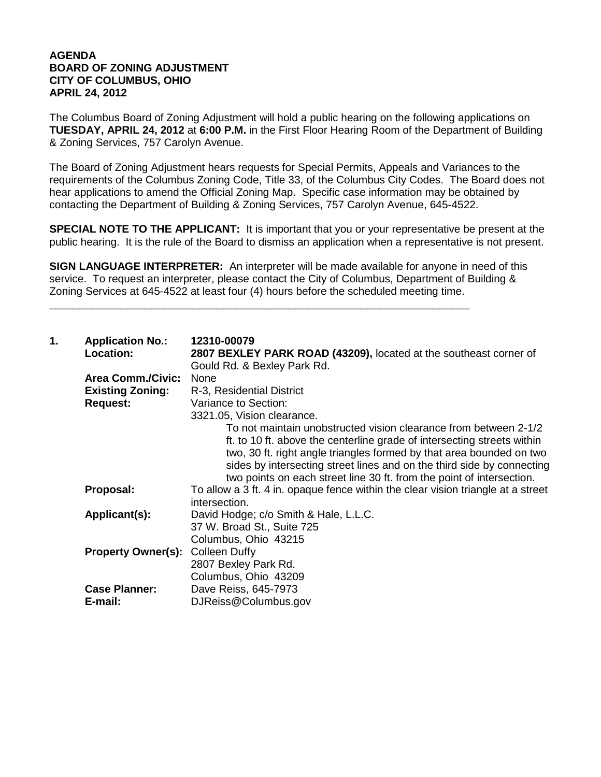## **AGENDA BOARD OF ZONING ADJUSTMENT CITY OF COLUMBUS, OHIO APRIL 24, 2012**

The Columbus Board of Zoning Adjustment will hold a public hearing on the following applications on **TUESDAY, APRIL 24, 2012** at **6:00 P.M.** in the First Floor Hearing Room of the Department of Building & Zoning Services, 757 Carolyn Avenue.

The Board of Zoning Adjustment hears requests for Special Permits, Appeals and Variances to the requirements of the Columbus Zoning Code, Title 33, of the Columbus City Codes. The Board does not hear applications to amend the Official Zoning Map. Specific case information may be obtained by contacting the Department of Building & Zoning Services, 757 Carolyn Avenue, 645-4522.

**SPECIAL NOTE TO THE APPLICANT:** It is important that you or your representative be present at the public hearing. It is the rule of the Board to dismiss an application when a representative is not present.

**SIGN LANGUAGE INTERPRETER:** An interpreter will be made available for anyone in need of this service. To request an interpreter, please contact the City of Columbus, Department of Building & Zoning Services at 645-4522 at least four (4) hours before the scheduled meeting time.

\_\_\_\_\_\_\_\_\_\_\_\_\_\_\_\_\_\_\_\_\_\_\_\_\_\_\_\_\_\_\_\_\_\_\_\_\_\_\_\_\_\_\_\_\_\_\_\_\_\_\_\_\_\_\_\_\_\_\_\_\_\_\_\_\_\_\_\_\_\_

| 1. | <b>Application No.:</b><br>Location: | 12310-00079<br>2807 BEXLEY PARK ROAD (43209), located at the southeast corner of<br>Gould Rd. & Bexley Park Rd. |
|----|--------------------------------------|-----------------------------------------------------------------------------------------------------------------|
|    | <b>Area Comm./Civic:</b>             | None                                                                                                            |
|    | <b>Existing Zoning:</b>              | R-3, Residential District                                                                                       |
|    | <b>Request:</b>                      | Variance to Section:                                                                                            |
|    |                                      | 3321.05, Vision clearance.                                                                                      |
|    |                                      | To not maintain unobstructed vision clearance from between 2-1/2                                                |
|    |                                      | ft. to 10 ft. above the centerline grade of intersecting streets within                                         |
|    |                                      | two, 30 ft. right angle triangles formed by that area bounded on two                                            |
|    |                                      | sides by intersecting street lines and on the third side by connecting                                          |
|    |                                      | two points on each street line 30 ft. from the point of intersection.                                           |
|    | Proposal:                            | To allow a 3 ft. 4 in. opaque fence within the clear vision triangle at a street<br>intersection.               |
|    | Applicant(s):                        | David Hodge; c/o Smith & Hale, L.L.C.                                                                           |
|    |                                      | 37 W. Broad St., Suite 725                                                                                      |
|    |                                      | Columbus, Ohio 43215                                                                                            |
|    | <b>Property Owner(s):</b>            | <b>Colleen Duffy</b>                                                                                            |
|    |                                      | 2807 Bexley Park Rd.                                                                                            |
|    |                                      | Columbus, Ohio 43209                                                                                            |
|    | <b>Case Planner:</b>                 | Dave Reiss, 645-7973                                                                                            |
|    | E-mail:                              | DJReiss@Columbus.gov                                                                                            |
|    |                                      |                                                                                                                 |